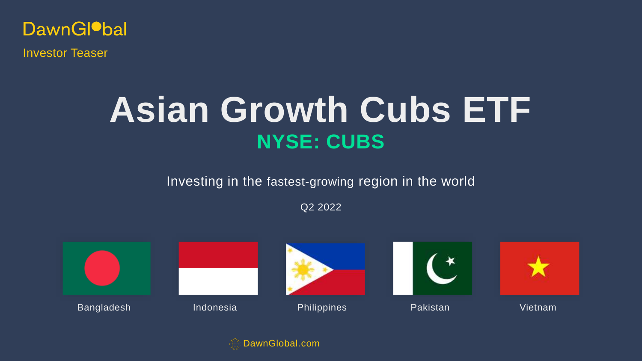

Investor Teaser

# **NYSE: CUBS Asian Growth Cubs ETF**

Investing in the fastest-growing region in the world

Q2 2022



DawnGlobal.com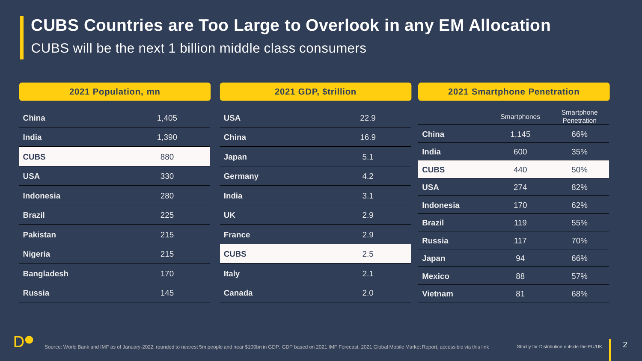# **CUBS Countries are Too Large to Overlook in any EM Allocation**

CUBS will be the next 1 billion middle class consumers

| 2021 Population, mn |       | 2021 GDP, \$trillion |      | <b>2021 Smartphone Penetration</b> |             |                           |
|---------------------|-------|----------------------|------|------------------------------------|-------------|---------------------------|
| China               | 1,405 | <b>USA</b>           | 22.9 |                                    | Smartphones | Smartphone<br>Penetration |
| <b>India</b>        | 1,390 | <b>China</b>         | 16.9 | <b>China</b>                       | 1,145       | 66%                       |
| <b>CUBS</b>         | 880   | Japan                | 5.1  | India                              | 600         | 35%                       |
| <b>USA</b>          | 330   | <b>Germany</b>       | 4.2  | <b>CUBS</b>                        | 440         | 50%                       |
| Indonesia           | 280   | India                | 3.1  | <b>USA</b>                         | 274         | 82%                       |
| <b>Brazil</b>       | 225   | <b>UK</b>            | 2.9  | <b>Indonesia</b>                   | 170         | 62%                       |
|                     |       |                      |      | <b>Brazil</b>                      | 119         | 55%                       |
| <b>Pakistan</b>     | 215   | <b>France</b>        | 2.9  | <b>Russia</b>                      | 117         | 70%                       |
| <b>Nigeria</b>      | 215   | <b>CUBS</b>          | 2.5  | Japan                              | 94          | 66%                       |
| <b>Bangladesh</b>   | 170   | <b>Italy</b>         | 2.1  | <b>Mexico</b>                      | 88          | 57%                       |
| <b>Russia</b>       | 145   | Canada               | 2.0  | <b>Vietnam</b>                     | 81          | 68%                       |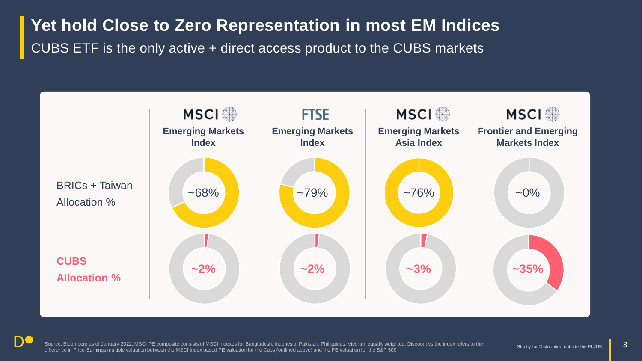# **Yet hold Close to Zero Representation in most EM Indices** CUBS ETF is the only active + direct access product to the CUBS markets



Source: Bloomberg as of January-2022; MSCI PE composite consists of MSCI indexes for Bangladesh, Indonesia, Pakistan, Philippines, Vietnam equally weighted. Discount vs the index refers to the difference in Price-Earnings multiple valuation between the MSCI Index based PE valuation for the Cubs (outlined above) and the PE valuation for the S&P 500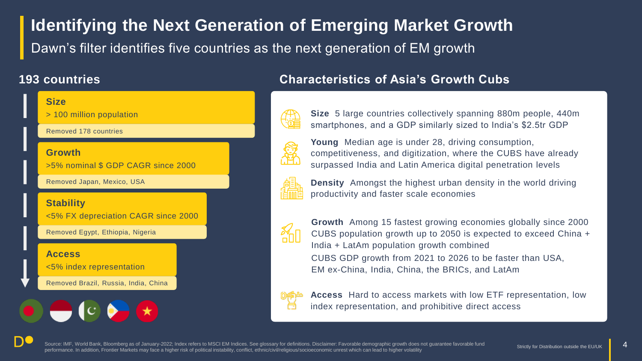# **Identifying the Next Generation of Emerging Market Growth** Dawn's filter identifies five countries as the next generation of EM growth

### **193 countries**



### **Characteristics of Asia's Growth Cubs**

![](_page_3_Picture_4.jpeg)

**Young** Median age is under 28, driving consumption, competitiveness, and digitization, where the CUBS have already surpassed India and Latin America digital penetration levels

**Size** 5 large countries collectively spanning 880m people, 440m smartphones, and a GDP similarly sized to India's \$2.5tr GDP

![](_page_3_Picture_7.jpeg)

**Density** Amongst the highest urban density in the world driving productivity and faster scale economies

![](_page_3_Picture_9.jpeg)

**Growth** Among 15 fastest growing economies globally since 2000 CUBS population growth up to 2050 is expected to exceed China + India + LatAm population growth combined CUBS GDP growth from 2021 to 2026 to be faster than USA, EM ex-China, India, China, the BRICs, and LatAm

![](_page_3_Picture_11.jpeg)

**Access** Hard to access markets with low ETF representation, low index representation, and prohibitive direct access

Source: IMF, World Bank, Bloomberg as of January-2022; Index refers to MSCI EM Indices. See glossary for definitions. Disclaimer: Favorable demographic growth does not quarantee favorable fund performance. In addition, Frontier Markets may face a higher risk of political instability, conflict, ethnic/civil/religious/socioeconomic unrest which can lead to higher volatility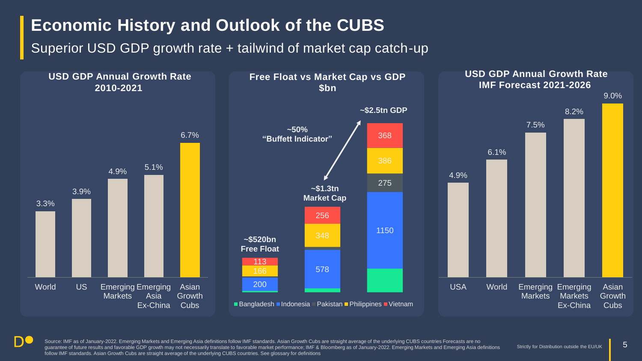# **Economic History and Outlook of the CUBS**

Superior USD GDP growth rate + tailwind of market cap catch-up

![](_page_4_Figure_2.jpeg)

Source: IMF as of January-2022. Emerging Markets and Emerging Asia definitions follow IMF standards. Asian Growth Cubs are straight average of the underlying CUBS countries Forecasts are no guarantee of future results and favorable GDP growth may not necessarily translate to favorable market performance; IMF & Bloomberg as of January-2022. Emerging Markets and Emerging Asia definitions follow IMF standards. Asian Growth Cubs are straight average of the underlying CUBS countries. See glossary for definitions

5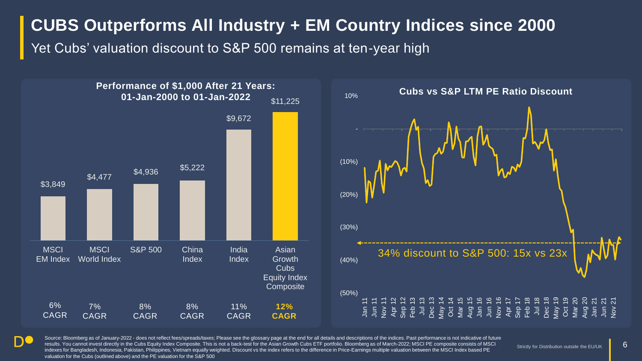# **CUBS Outperforms All Industry + EM Country Indices since 2000**

Yet Cubs' valuation discount to S&P 500 remains at ten-year high

\$3,849  $$4,477$   $$4,936$   $$5,222$ \$9,672 \$11,225 **MSCI** EM Index **MSCI** World Index S&P 500 China Index India Index Asian **Growth** Cubs Equity Index **Composite** 6% CAGR 7% CAGR 8% CAGR 8% CAGR 11% CAGR **12% CAGR** (50%) (40%) (30%) (20%) (10%) 10% **Performance of \$1,000 After 21 Years: 01-Jan-2000 to 01-Jan-2022 Cubs vs S&P LTM PE Ratio Discount**

![](_page_5_Figure_3.jpeg)

Source: Bloomberg as of January-2022 - does not reflect fees/spreads/taxes; Please see the glossary page at the end for all details and descriptions of the indices. Past performance is not indicative of future results. You cannot invest directly in the Cubs Equity Index Composite. This is not a back-test for the Asian Growth Cubs ETF portfolio. Bloomberg as of March-2022; MSCI PE composite consists of MSCI indexes for Bangladesh, Indonesia, Pakistan, Philippines, Vietnam equally weighted. Discount vs the index refers to the difference in Price-Earnings multiple valuation between the MSCI Index based PE valuation for the Cubs (outlined above) and the PE valuation for the S&P 500

6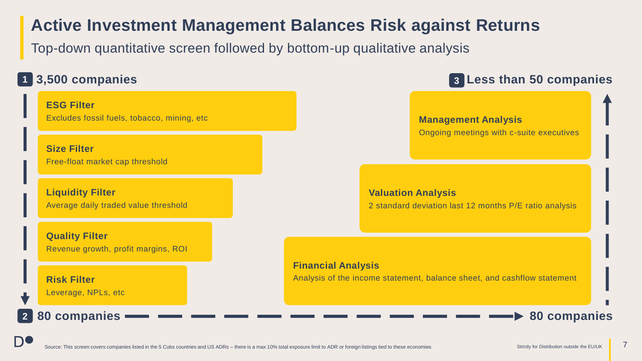### **Active Investment Management Balances Risk against Returns**

Top-down quantitative screen followed by bottom-up qualitative analysis

### **3,500 companies 1**

**ESG Filter** Excludes fossil fuels, tobacco, mining, etc

**Size Filter** Free-float market cap threshold

**Liquidity Filter** Average daily traded value threshold

**Quality Filter** Revenue growth, profit margins, ROI

**Risk Filter** Leverage, NPLs, etc

**2**

n(

**80 companies**

### **Less than 50 companies 3**

#### **Management Analysis** Ongoing meetings with c-suite executives

**Valuation Analysis** 2 standard deviation last 12 months P/E ratio analysis

**Financial Analysis**

Analysis of the income statement, balance sheet, and cashflow statement

**80 companies**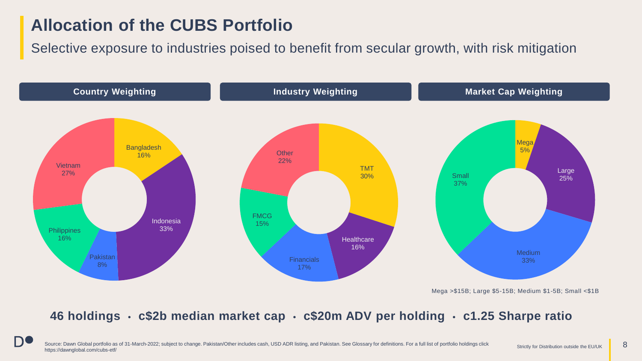### **Allocation of the CUBS Portfolio**

Selective exposure to industries poised to benefit from secular growth, with risk mitigation

![](_page_7_Figure_2.jpeg)

Mega >\$15B; Large \$5-15B; Medium \$1-5B; Small <\$1B

### **46 holdings • c\$2b median market cap • c\$20m ADV per holding • c1.25 Sharpe ratio**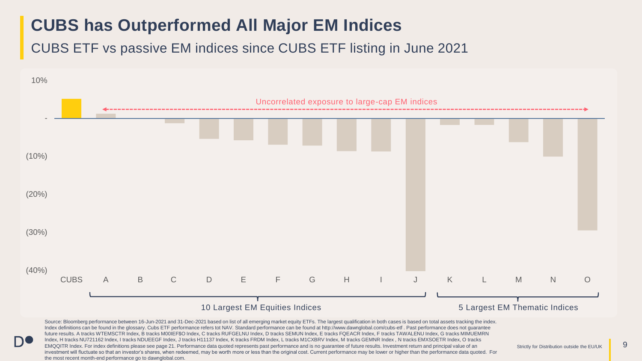# **CUBS has Outperformed All Major EM Indices**

CUBS ETF vs passive EM indices since CUBS ETF listing in June 2021

![](_page_8_Figure_2.jpeg)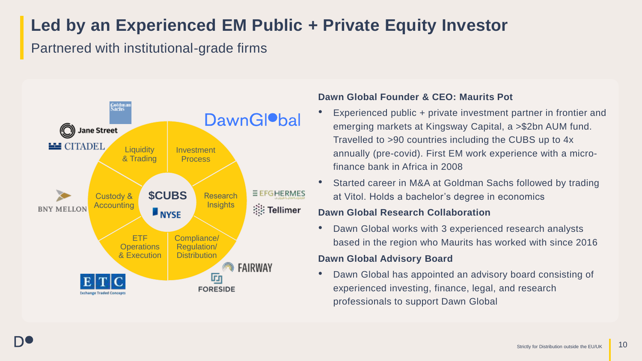# **Led by an Experienced EM Public + Private Equity Investor**

Partnered with institutional-grade firms

![](_page_9_Figure_2.jpeg)

### **Dawn Global Founder & CEO: Maurits Pot**

- Experienced public + private investment partner in frontier and emerging markets at Kingsway Capital, a >\$2bn AUM fund. Travelled to >90 countries including the CUBS up to 4x annually (pre-covid). First EM work experience with a microfinance bank in Africa in 2008
- Started career in M&A at Goldman Sachs followed by trading at Vitol. Holds a bachelor's degree in economics

### **Dawn Global Research Collaboration**

• Dawn Global works with 3 experienced research analysts based in the region who Maurits has worked with since 2016

### **Dawn Global Advisory Board**

• Dawn Global has appointed an advisory board consisting of experienced investing, finance, legal, and research professionals to support Dawn Global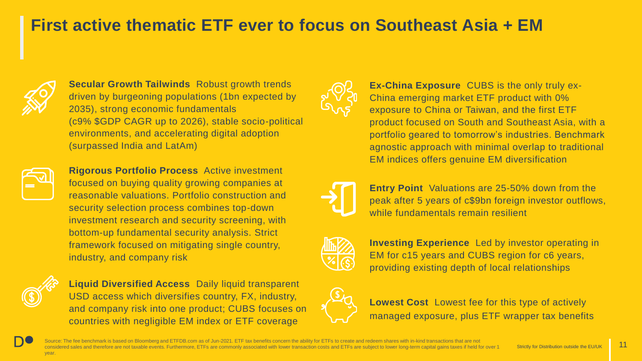# **First active thematic ETF ever to focus on Southeast Asia + EM**

![](_page_10_Picture_1.jpeg)

**Secular Growth Tailwinds** Robust growth trends driven by burgeoning populations (1bn expected by 2035), strong economic fundamentals (c9% \$GDP CAGR up to 2026), stable socio-political environments, and accelerating digital adoption (surpassed India and LatAm)

![](_page_10_Picture_3.jpeg)

**Rigorous Portfolio Process** Active investment focused on buying quality growing companies at reasonable valuations. Portfolio construction and security selection process combines top-down investment research and security screening, with bottom-up fundamental security analysis. Strict framework focused on mitigating single country, industry, and company risk

![](_page_10_Picture_5.jpeg)

**Liquid Diversified Access** Daily liquid transparent USD access which diversifies country, FX, industry, and company risk into one product; CUBS focuses on countries with negligible EM index or ETF coverage

![](_page_10_Picture_7.jpeg)

**Ex-China Exposure** CUBS is the only truly ex-China emerging market ETF product with 0% exposure to China or Taiwan, and the first ETF product focused on South and Southeast Asia, with a portfolio geared to tomorrow's industries. Benchmark agnostic approach with minimal overlap to traditional EM indices offers genuine EM diversification

![](_page_10_Picture_9.jpeg)

**Entry Point** Valuations are 25-50% down from the peak after 5 years of c\$9bn foreign investor outflows, while fundamentals remain resilient

![](_page_10_Picture_11.jpeg)

**Investing Experience** Led by investor operating in EM for c15 years and CUBS region for c6 years, providing existing depth of local relationships

![](_page_10_Picture_13.jpeg)

**Lowest Cost** Lowest fee for this type of actively managed exposure, plus ETF wrapper tax benefits

Source: The fee benchmark is based on Bloomberg and ETFDB.com as of Jun-2021. ETF tax benefits concern the ability for ETFs to create and redeem shares with in-kind transactions that are not considered sales and therefore are not taxable events. Furthermore, ETFs are commonly associated with lower transaction costs and ETFs are subject to lower long-term capital gains taxes if held for over 1 year.

11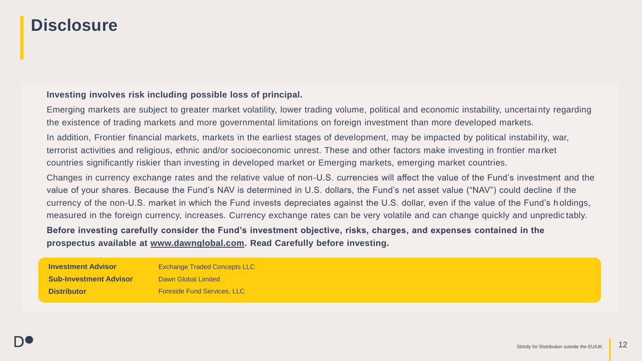### **Disclosure**

#### **Investing involves risk including possible loss of principal.**

Emerging markets are subject to greater market volatility, lower trading volume, political and economic instability, uncertai nty regarding the existence of trading markets and more governmental limitations on foreign investment than more developed markets.

In addition, Frontier financial markets, markets in the earliest stages of development, may be impacted by political instabil ity, war, terrorist activities and religious, ethnic and/or socioeconomic unrest. These and other factors make investing in frontier ma rket countries significantly riskier than investing in developed market or Emerging markets, emerging market countries.

Changes in currency exchange rates and the relative value of non-U.S. currencies will affect the value of the Fund's investment and the value of your shares. Because the Fund's NAV is determined in U.S. dollars, the Fund's net asset value ("NAV") could decline if the currency of the non-U.S. market in which the Fund invests depreciates against the U.S. dollar, even if the value of the Fund's holdings, measured in the foreign currency, increases. Currency exchange rates can be very volatile and can change quickly and unpredic tably.

#### **Before investing carefully consider the Fund's investment objective, risks, charges, and expenses contained in the prospectus available at [www.dawnglobal.com.](http://www.dawnglobal.com/) Read Carefully before investing.**

**Investment Advisor Sub-Investment Advisor Distributor** Exchange Traded Concepts LLC Dawn Global Limited Foreside Fund Services, LLC